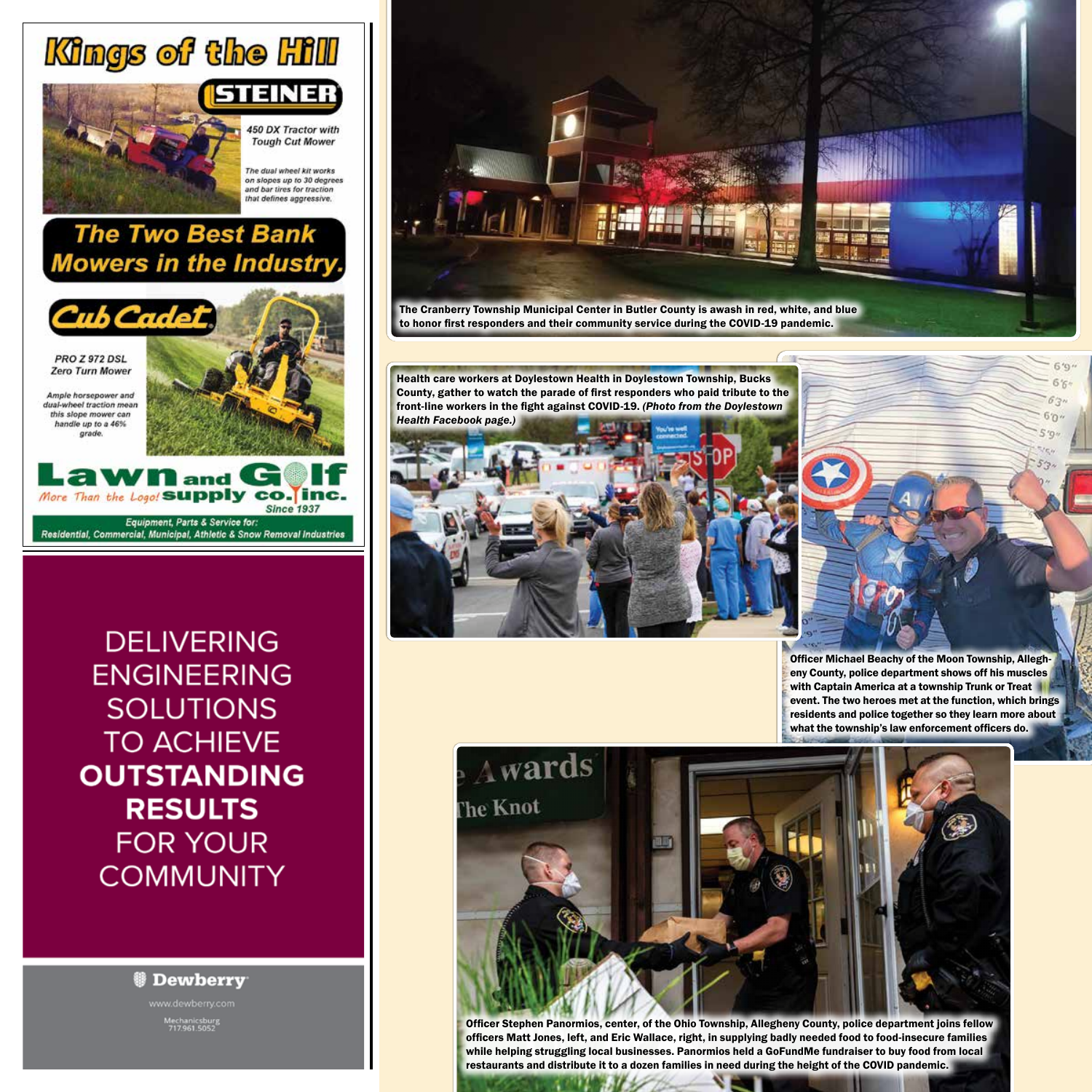## Kings of the Hill



450 DX Tractor with **Tough Cut Mower** 

The dual wheel kit works on slopes up to 30 degrees and bar tires for traction that defines aggressive.

## **The Two Best Bank Mowers in the Industry.**



**DELIVERING ENGINEERING SOLUTIONS TO ACHIEVE OUTSTANDING RESULTS FOR YOUR COMMUNITY** 

## **Dewberry**

fechanicsburg<br>717.961.5052



The Cranberry Township Municipal Center in Butler County is awash in red, white, and blue to honor first responders and their community service during the COVID-19 pandemic.

Health care workers at Doylestown Health in Doylestown Township, Bucks County, gather to watch the parade of first responders who paid tribute to the front-line workers in the fight against COVID-19. *(Photo from the Doylestown Health Facebook page.)*



 $6\gamma$ 

 $5 - 40$ 

Officer Michael Beachy of the Moon Township, Allegheny County, police department shows off his muscles with Captain America at a township Trunk or Treat event. The two heroes met at the function, which brings residents and police together so they learn more about what the township's law enforcement officers do.



Officer Stephen Panormios, center, of the Ohio Township, Allegheny County, police department joins fellow officers Matt Jones, left, and Eric Wallace, right, in supplying badly needed food to food-insecure families while helping struggling local businesses. Panormios held a GoFundMe fundraiser to buy food from local restaurants and distribute it to a dozen families in need during the height of the COVID pandemic.